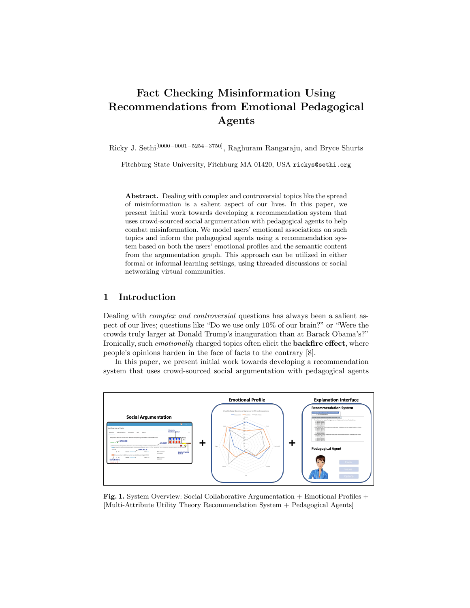# Fact Checking Misinformation Using Recommendations from Emotional Pedagogical Agents

Ricky J. Sethi<sup>[0000–0001–5254–3750]</sup>, Raghuram Rangaraju, and Bryce Shurts

Fitchburg State University, Fitchburg MA 01420, USA rickys@sethi.org

Abstract. Dealing with complex and controversial topics like the spread of misinformation is a salient aspect of our lives. In this paper, we present initial work towards developing a recommendation system that uses crowd-sourced social argumentation with pedagogical agents to help combat misinformation. We model users' emotional associations on such topics and inform the pedagogical agents using a recommendation system based on both the users' emotional profiles and the semantic content from the argumentation graph. This approach can be utilized in either formal or informal learning settings, using threaded discussions or social networking virtual communities.

## 1 Introduction

Dealing with *complex and controversial* questions has always been a salient aspect of our lives; questions like "Do we use only 10% of our brain?" or "Were the crowds truly larger at Donald Trump's inauguration than at Barack Obama's?" Ironically, such *emotionally* charged topics often elicit the backfire effect, where people's opinions harden in the face of facts to the contrary [8].

In this paper, we present initial work towards developing a recommendation system that uses crowd-sourced social argumentation with pedagogical agents



Fig. 1. System Overview: Social Collaborative Argumentation + Emotional Profiles + [Multi-Attribute Utility Theory Recommendation System + Pedagogical Agents]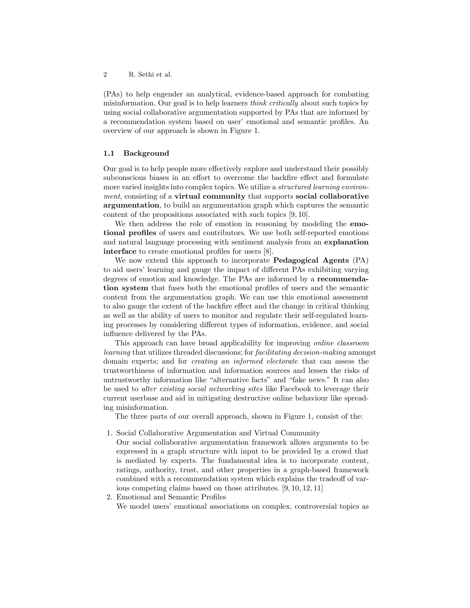(PAs) to help engender an analytical, evidence-based approach for combating misinformation. Our goal is to help learners *think critically* about such topics by using social collaborative argumentation supported by PAs that are informed by a recommendation system based on user' emotional and semantic profiles. An overview of our approach is shown in Figure 1.

#### 1.1 Background

Our goal is to help people more effectively explore and understand their possibly subconscious biases in an effort to overcome the backfire effect and formulate more varied insights into complex topics. We utilize a *structured learning environment*, consisting of a virtual community that supports social collaborative argumentation, to build an argumentation graph which captures the semantic content of the propositions associated with such topics [9, 10].

We then address the role of emotion in reasoning by modeling the **emo**tional profiles of users and contributors. We use both self-reported emotions and natural language processing with sentiment analysis from an explanation interface to create emotional profiles for users [8].

We now extend this approach to incorporate Pedagogical Agents (PA) to aid users' learning and gauge the impact of different PAs exhibiting varying degrees of emotion and knowledge. The PAs are informed by a recommendation system that fuses both the emotional profiles of users and the semantic content from the argumentation graph. We can use this emotional assessment to also gauge the extent of the backfire effect and the change in critical thinking as well as the ability of users to monitor and regulate their self-regulated learning processes by considering different types of information, evidence, and social influence delivered by the PAs.

This approach can have broad applicability for improving *online classroom learning* that utilizes threaded discussions; for *facilitating decision-making* amongst domain experts; and for *creating an informed electorate* that can assess the trustworthiness of information and information sources and lessen the risks of untrustworthy information like "alternative facts" and "fake news." It can also be used to *alter existing social networking sites* like Facebook to leverage their current userbase and aid in mitigating destructive online behaviour like spreading misinformation.

The three parts of our overall approach, shown in Figure 1, consist of the:

- 1. Social Collaborative Argumentation and Virtual Community
	- Our social collaborative argumentation framework allows arguments to be expressed in a graph structure with input to be provided by a crowd that is mediated by experts. The fundamental idea is to incorporate content, ratings, authority, trust, and other properties in a graph-based framework combined with a recommendation system which explains the tradeoff of various competing claims based on those attributes. [9, 10, 12, 11]
- 2. Emotional and Semantic Profiles

We model users' emotional associations on complex, controversial topics as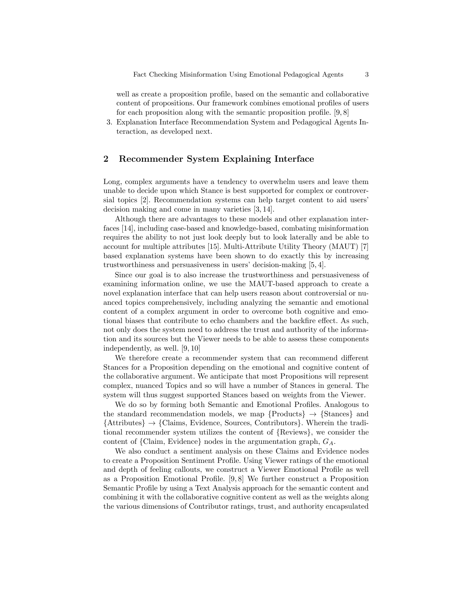well as create a proposition profile, based on the semantic and collaborative content of propositions. Our framework combines emotional profiles of users for each proposition along with the semantic proposition profile. [9, 8]

3. Explanation Interface Recommendation System and Pedagogical Agents Interaction, as developed next.

## 2 Recommender System Explaining Interface

Long, complex arguments have a tendency to overwhelm users and leave them unable to decide upon which Stance is best supported for complex or controversial topics [2]. Recommendation systems can help target content to aid users' decision making and come in many varieties [3, 14].

Although there are advantages to these models and other explanation interfaces [14], including case-based and knowledge-based, combating misinformation requires the ability to not just look deeply but to look laterally and be able to account for multiple attributes [15]. Multi-Attribute Utility Theory (MAUT) [7] based explanation systems have been shown to do exactly this by increasing trustworthiness and persuasiveness in users' decision-making [5, 4].

Since our goal is to also increase the trustworthiness and persuasiveness of examining information online, we use the MAUT-based approach to create a novel explanation interface that can help users reason about controversial or nuanced topics comprehensively, including analyzing the semantic and emotional content of a complex argument in order to overcome both cognitive and emotional biases that contribute to echo chambers and the backfire effect. As such, not only does the system need to address the trust and authority of the information and its sources but the Viewer needs to be able to assess these components independently, as well. [9, 10]

We therefore create a recommender system that can recommend different Stances for a Proposition depending on the emotional and cognitive content of the collaborative argument. We anticipate that most Propositions will represent complex, nuanced Topics and so will have a number of Stances in general. The system will thus suggest supported Stances based on weights from the Viewer.

We do so by forming both Semantic and Emotional Profiles. Analogous to the standard recommendation models, we map  ${Products}$   $\rightarrow$   ${Stances}$  and *{*Attributes*}* → *{*Claims, Evidence, Sources, Contributors*}*. Wherein the traditional recommender system utilizes the content of *{*Reviews*}*, we consider the content of *{*Claim, Evidence*}* nodes in the argumentation graph, *GA*.

We also conduct a sentiment analysis on these Claims and Evidence nodes to create a Proposition Sentiment Profile. Using Viewer ratings of the emotional and depth of feeling callouts, we construct a Viewer Emotional Profile as well as a Proposition Emotional Profile. [9, 8] We further construct a Proposition Semantic Profile by using a Text Analysis approach for the semantic content and combining it with the collaborative cognitive content as well as the weights along the various dimensions of Contributor ratings, trust, and authority encapsulated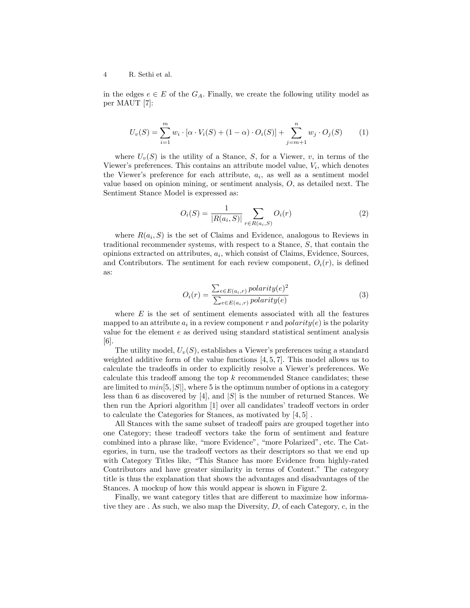#### 4 R. Sethi et al.

in the edges  $e \in E$  of the  $G_A$ . Finally, we create the following utility model as per MAUT [7]:

$$
U_v(S) = \sum_{i=1}^{m} w_i \cdot [\alpha \cdot V_i(S) + (1 - \alpha) \cdot O_i(S)] + \sum_{j=m+1}^{n} w_j \cdot O_j(S) \qquad (1)
$$

where  $U_v(S)$  is the utility of a Stance, *S*, for a Viewer, *v*, in terms of the Viewer's preferences. This contains an attribute model value,  $V_i$ , which denotes the Viewer's preference for each attribute,  $a_i$ , as well as a sentiment model value based on opinion mining, or sentiment analysis, *O*, as detailed next. The Sentiment Stance Model is expressed as:

$$
O_i(S) = \frac{1}{|R(a_i, S)|} \sum_{r \in R(a_i, S)} O_i(r)
$$
 (2)

where  $R(a_i, S)$  is the set of Claims and Evidence, analogous to Reviews in traditional recommender systems, with respect to a Stance, *S*, that contain the opinions extracted on attributes, *ai*, which consist of Claims, Evidence, Sources, and Contributors. The sentiment for each review component,  $O_i(r)$ , is defined as:

$$
O_i(r) = \frac{\sum_{e \in E(a_i, r)} polarity(e)^2}{\sum_{e \in E(a_i, r)} polarity(e)}
$$
(3)

where  $E$  is the set of sentiment elements associated with all the features mapped to an attribute  $a_i$  in a review component r and  $polarity(e)$  is the polarity value for the element *e* as derived using standard statistical sentiment analysis [6].

The utility model, *Uv*(*S*), establishes a Viewer's preferences using a standard weighted additive form of the value functions [4, 5, 7]. This model allows us to calculate the tradeoffs in order to explicitly resolve a Viewer's preferences. We calculate this tradeoff among the top *k* recommended Stance candidates; these are limited to  $min[5, |S|]$ , where 5 is the optimum number of options in a category less than 6 as discovered by [4], and *|S|* is the number of returned Stances. We then run the Apriori algorithm [1] over all candidates' tradeoff vectors in order to calculate the Categories for Stances, as motivated by [4, 5] .

All Stances with the same subset of tradeoff pairs are grouped together into one Category; these tradeoff vectors take the form of sentiment and feature combined into a phrase like, "more Evidence", "more Polarized", etc. The Categories, in turn, use the tradeoff vectors as their descriptors so that we end up with Category Titles like, "This Stance has more Evidence from highly-rated Contributors and have greater similarity in terms of Content." The category title is thus the explanation that shows the advantages and disadvantages of the Stances. A mockup of how this would appear is shown in Figure 2.

Finally, we want category titles that are different to maximize how informative they are . As such, we also map the Diversity, *D*, of each Category, *c*, in the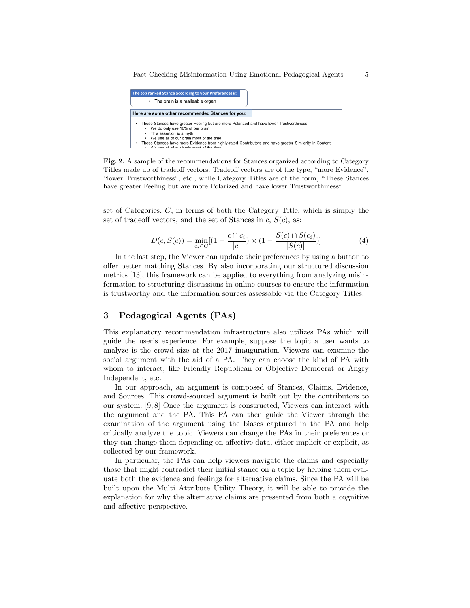| The top ranked Stance according to your Preferences is: |                                                                                                                                                          |  |  |                                                                                                                                                                                                    |
|---------------------------------------------------------|----------------------------------------------------------------------------------------------------------------------------------------------------------|--|--|----------------------------------------------------------------------------------------------------------------------------------------------------------------------------------------------------|
| • The brain is a malleable organ                        |                                                                                                                                                          |  |  |                                                                                                                                                                                                    |
| Here are some other recommended Stances for you:        |                                                                                                                                                          |  |  |                                                                                                                                                                                                    |
| ٠                                                       | We do only use 10% of our brain<br>This assertion is a myth<br>We use all of our brain most of the time<br>this case all of our basis monet of the times |  |  | These Stances have greater Feeling but are more Polarized and have lower Trustworthiness<br>These Stances have more Evidence from highly-rated Contributors and have greater Similarity in Content |

Fig. 2. A sample of the recommendations for Stances organized according to Category Titles made up of tradeoff vectors. Tradeoff vectors are of the type, "more Evidence", "lower Trustworthiness", etc., while Category Titles are of the form, "These Stances have greater Feeling but are more Polarized and have lower Trustworthiness".

set of Categories, *C*, in terms of both the Category Title, which is simply the set of tradeoff vectors, and the set of Stances in  $c$ ,  $S(c)$ , as:

$$
D(c, S(c)) = \min_{c_i \in C} [(1 - \frac{c \cap c_i}{|c|}) \times (1 - \frac{S(c) \cap S(c_i)}{|S(c)|})]
$$
(4)

In the last step, the Viewer can update their preferences by using a button to offer better matching Stances. By also incorporating our structured discussion metrics [13], this framework can be applied to everything from analyzing misinformation to structuring discussions in online courses to ensure the information is trustworthy and the information sources assessable via the Category Titles.

## 3 Pedagogical Agents (PAs)

This explanatory recommendation infrastructure also utilizes PAs which will guide the user's experience. For example, suppose the topic a user wants to analyze is the crowd size at the 2017 inauguration. Viewers can examine the social argument with the aid of a PA. They can choose the kind of PA with whom to interact, like Friendly Republican or Objective Democrat or Angry Independent, etc.

In our approach, an argument is composed of Stances, Claims, Evidence, and Sources. This crowd-sourced argument is built out by the contributors to our system. [9, 8] Once the argument is constructed, Viewers can interact with the argument and the PA. This PA can then guide the Viewer through the examination of the argument using the biases captured in the PA and help critically analyze the topic. Viewers can change the PAs in their preferences or they can change them depending on affective data, either implicit or explicit, as collected by our framework.

In particular, the PAs can help viewers navigate the claims and especially those that might contradict their initial stance on a topic by helping them evaluate both the evidence and feelings for alternative claims. Since the PA will be built upon the Multi Attribute Utility Theory, it will be able to provide the explanation for why the alternative claims are presented from both a cognitive and affective perspective.